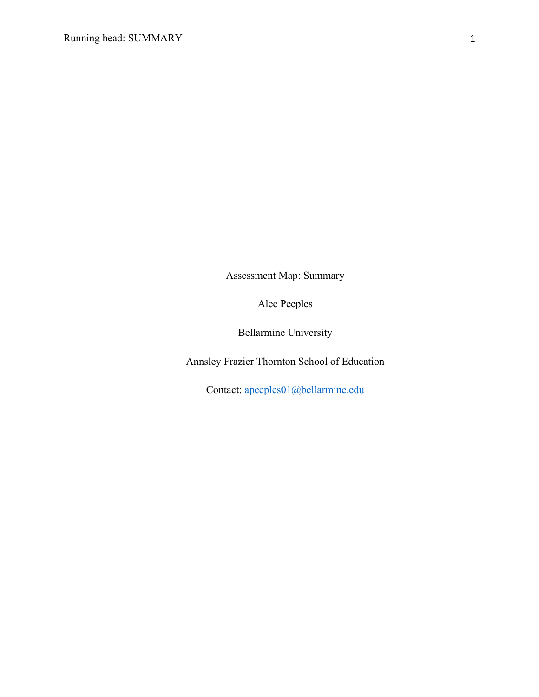Assessment Map: Summary

Alec Peeples

Bellarmine University

Annsley Frazier Thornton School of Education

Contact: apeeples01@bellarmine.edu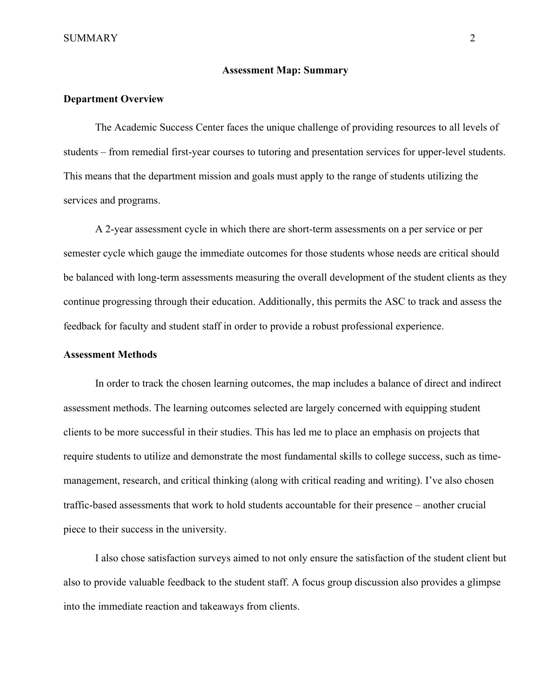### **Assessment Map: Summary**

#### **Department Overview**

The Academic Success Center faces the unique challenge of providing resources to all levels of students – from remedial first-year courses to tutoring and presentation services for upper-level students. This means that the department mission and goals must apply to the range of students utilizing the services and programs.

A 2-year assessment cycle in which there are short-term assessments on a per service or per semester cycle which gauge the immediate outcomes for those students whose needs are critical should be balanced with long-term assessments measuring the overall development of the student clients as they continue progressing through their education. Additionally, this permits the ASC to track and assess the feedback for faculty and student staff in order to provide a robust professional experience.

#### **Assessment Methods**

In order to track the chosen learning outcomes, the map includes a balance of direct and indirect assessment methods. The learning outcomes selected are largely concerned with equipping student clients to be more successful in their studies. This has led me to place an emphasis on projects that require students to utilize and demonstrate the most fundamental skills to college success, such as timemanagement, research, and critical thinking (along with critical reading and writing). I've also chosen traffic-based assessments that work to hold students accountable for their presence – another crucial piece to their success in the university.

I also chose satisfaction surveys aimed to not only ensure the satisfaction of the student client but also to provide valuable feedback to the student staff. A focus group discussion also provides a glimpse into the immediate reaction and takeaways from clients.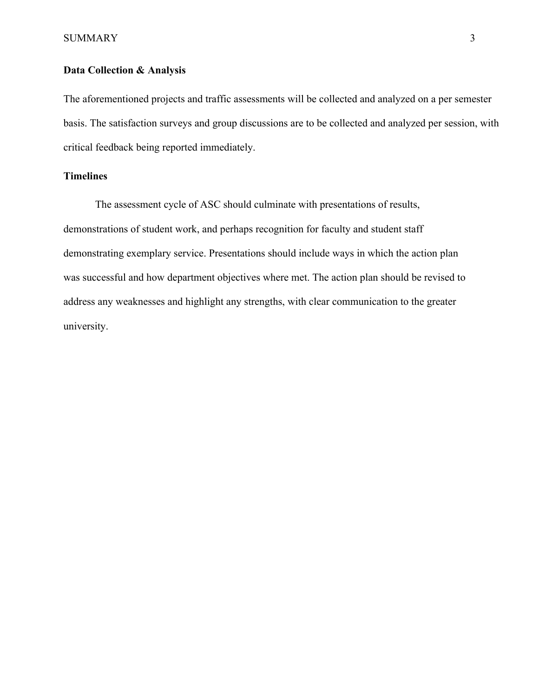#### SUMMARY 3

## **Data Collection & Analysis**

The aforementioned projects and traffic assessments will be collected and analyzed on a per semester basis. The satisfaction surveys and group discussions are to be collected and analyzed per session, with critical feedback being reported immediately.

# **Timelines**

The assessment cycle of ASC should culminate with presentations of results, demonstrations of student work, and perhaps recognition for faculty and student staff demonstrating exemplary service. Presentations should include ways in which the action plan was successful and how department objectives where met. The action plan should be revised to address any weaknesses and highlight any strengths, with clear communication to the greater university.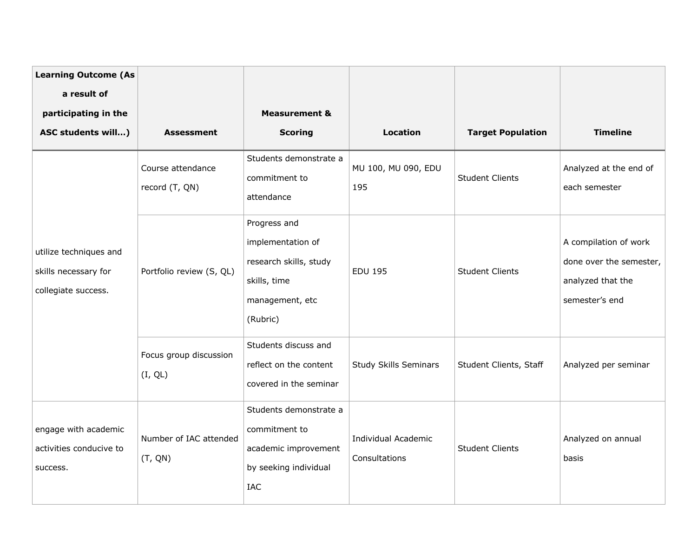| <b>Learning Outcome (As</b>                                           |                                     |                                                                                                            |                                             |                          |                                                                                         |
|-----------------------------------------------------------------------|-------------------------------------|------------------------------------------------------------------------------------------------------------|---------------------------------------------|--------------------------|-----------------------------------------------------------------------------------------|
| a result of                                                           |                                     |                                                                                                            |                                             |                          |                                                                                         |
| participating in the                                                  |                                     | <b>Measurement &amp;</b>                                                                                   |                                             |                          |                                                                                         |
| ASC students will)                                                    | <b>Assessment</b>                   | <b>Scoring</b>                                                                                             | Location                                    | <b>Target Population</b> | <b>Timeline</b>                                                                         |
| utilize techniques and<br>skills necessary for<br>collegiate success. | Course attendance<br>record (T, QN) | Students demonstrate a<br>commitment to<br>attendance                                                      | MU 100, MU 090, EDU<br>195                  | <b>Student Clients</b>   | Analyzed at the end of<br>each semester                                                 |
|                                                                       | Portfolio review (S, QL)            | Progress and<br>implementation of<br>research skills, study<br>skills, time<br>management, etc<br>(Rubric) | <b>EDU 195</b>                              | <b>Student Clients</b>   | A compilation of work<br>done over the semester,<br>analyzed that the<br>semester's end |
|                                                                       | Focus group discussion<br>(I, QL)   | Students discuss and<br>reflect on the content<br>covered in the seminar                                   | <b>Study Skills Seminars</b>                | Student Clients, Staff   | Analyzed per seminar                                                                    |
| engage with academic<br>activities conducive to<br>success.           | Number of IAC attended<br>(T, QN)   | Students demonstrate a<br>commitment to<br>academic improvement<br>by seeking individual<br>IAC            | <b>Individual Academic</b><br>Consultations | <b>Student Clients</b>   | Analyzed on annual<br>basis                                                             |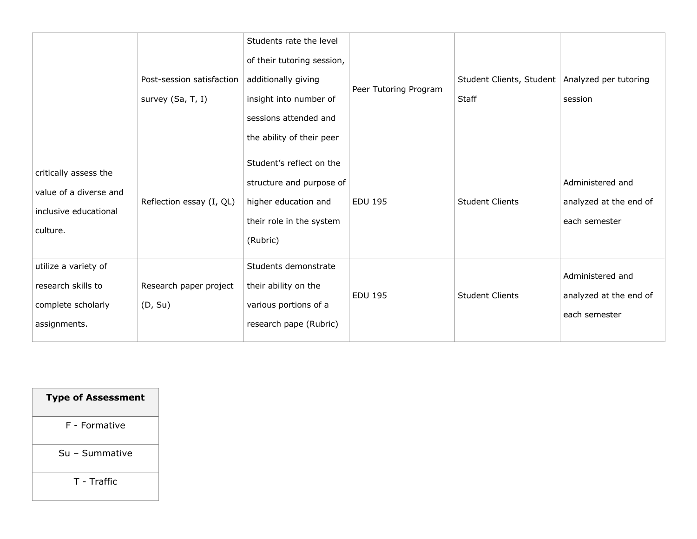|                                                                                      | Post-session satisfaction<br>survey (Sa, T, I) | Students rate the level<br>of their tutoring session,<br>additionally giving<br>insight into number of<br>sessions attended and<br>the ability of their peer | Peer Tutoring Program | Student Clients, Student   Analyzed per tutoring<br>Staff | session                                                     |
|--------------------------------------------------------------------------------------|------------------------------------------------|--------------------------------------------------------------------------------------------------------------------------------------------------------------|-----------------------|-----------------------------------------------------------|-------------------------------------------------------------|
| critically assess the<br>value of a diverse and<br>inclusive educational<br>culture. | Reflection essay (I, QL)                       | Student's reflect on the<br>structure and purpose of<br>higher education and<br>their role in the system<br>(Rubric)                                         | <b>EDU 195</b>        | <b>Student Clients</b>                                    | Administered and<br>analyzed at the end of<br>each semester |
| utilize a variety of<br>research skills to<br>complete scholarly<br>assignments.     | Research paper project<br>(D, Su)              | Students demonstrate<br>their ability on the<br>various portions of a<br>research pape (Rubric)                                                              | <b>EDU 195</b>        | <b>Student Clients</b>                                    | Administered and<br>analyzed at the end of<br>each semester |